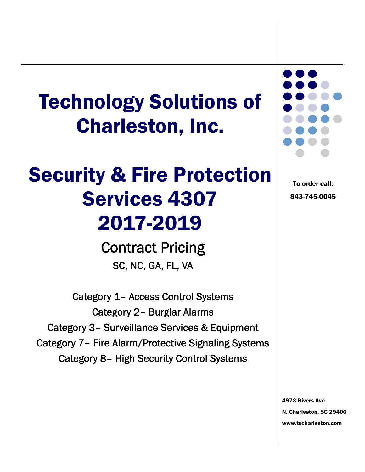# Technology Solutions of Charleston, Inc.

# Security & Fire Protection Services 4307 2017-2019

Contract Pricing SC, NC, GA, FL, VA

Category 1– Access Control Systems Category 2– Burglar Alarms Category 3– Surveillance Services & Equipment Category 7– Fire Alarm/Protective Signaling Systems Category 8– High Security Control Systems



To order call: 843-745-0045

4973 Rivers Ave. N. Charleston, SC 29406 www.tscharleston.com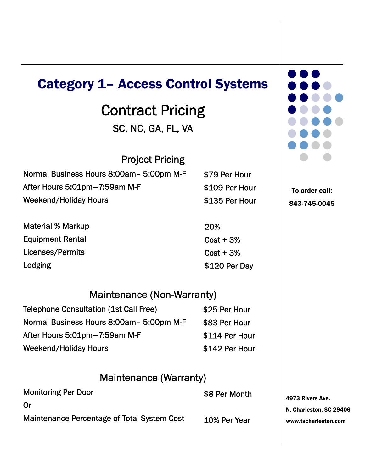### Category 1– Access Control Systems

### Contract Pricing SC, NC, GA, FL, VA

Project Pricing

| Normal Business Hours 8:00am- 5:00pm M-F |
|------------------------------------------|
| After Hours 5:01pm-7:59am M-F            |
| <b>Weekend/Holiday Hours</b>             |

Material % Markup Equipment Rental Licenses/Permits Lodging

### Maintenance (Non-Warranty)

| <b>Telephone Consultation (1st Call Free)</b> | \$25 Per Hour  |
|-----------------------------------------------|----------------|
| Normal Business Hours 8:00am - 5:00pm M-F     | \$83 Per Hour  |
| After Hours 5:01pm-7:59am M-F                 | \$114 Per Hour |
| <b>Weekend/Holiday Hours</b>                  | \$142 Per Hour |

#### Maintenance (Warranty)

| <b>Monitoring Per Door</b>                  | \$8 Per Month |
|---------------------------------------------|---------------|
| Or                                          |               |
| Maintenance Percentage of Total System Cost | 10% Per Year  |

| <b></b> |                                       |  |
|---------|---------------------------------------|--|
|         | .                                     |  |
|         | $\bullet\bullet\bullet\bullet\bullet$ |  |
|         | $\bullet\bullet\bullet\bullet$        |  |
|         | $\bullet\bullet\bullet\bullet\bullet$ |  |
|         |                                       |  |
|         |                                       |  |
|         | $\qquad \qquad \blacksquare$          |  |

To order call: 843-745-0045

4973 Rivers Ave. N. Charleston, SC 29406 www.tscharleston.com

20%

\$79 Per Hour

\$109 Per Hour

\$135 Per Hour

### $Cost + 3%$  $Cost + 3%$

### \$120 Per Day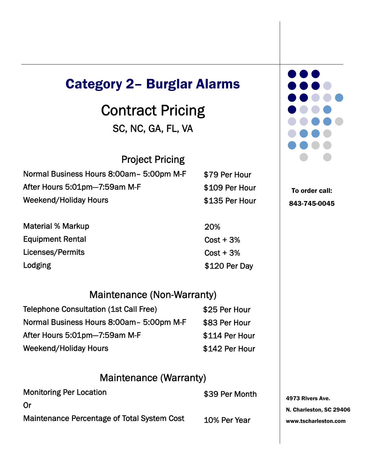### Category 2– Burglar Alarms

### Contract Pricing SC, NC, GA, FL, VA

| Normal Business Hours 8:00am - 5:00pm M-F | \$79 Per Hour  |
|-------------------------------------------|----------------|
| After Hours 5:01pm-7:59am M-F             | \$109 Per Hour |
| Weekend/Holiday Hours                     | \$135 Per Hour |

Material % Markup Equipment Rental Licenses/Permits Lodging

#### Maintenance (Non-Warranty)

20%

 $Cost + 3%$ 

 $Cost + 3%$ 

\$120 Per Day

| <b>Telephone Consultation (1st Call Free)</b> | \$25 Per Hour  |
|-----------------------------------------------|----------------|
| Normal Business Hours 8:00am - 5:00pm M-F     | \$83 Per Hour  |
| After Hours 5:01pm-7:59am M-F                 | \$114 Per Hour |
| <b>Weekend/Holiday Hours</b>                  | \$142 Per Hour |

#### Maintenance (Warranty)

| <b>Monitoring Per Location</b>              | \$39 Per Month |
|---------------------------------------------|----------------|
| Or                                          |                |
| Maintenance Percentage of Total System Cost | 10% Per Year   |



To order call: 843-745-0045

4973 Rivers Ave. N. Charleston, SC 29406 www.tscharleston.com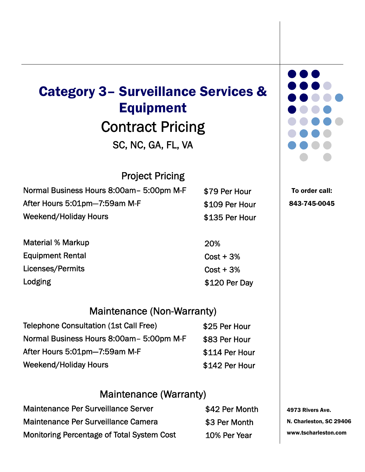## Contract Pricing Category 3– Surveillance Services & Equipment

SC, NC, GA, FL, VA

### Project Pricing

Normal Business Hours 8:00am– 5:00pm M-F After Hours 5:01pm—7:59am M-F Weekend/Holiday Hours \$79 Per Hour \$109 Per Hour \$135 Per Hour

Material % Markup Equipment Rental Licenses/Permits Lodging

Maintenance (Non-Warranty)

Telephone Consultation (1st Call Free) Normal Business Hours 8:00am– 5:00pm M-F After Hours 5:01pm—7:59am M-F Weekend/Holiday Hours \$25 Per Hour \$83 Per Hour \$114 Per Hour \$142 Per Hour

### Maintenance (Warranty)

| <b>Maintenance Per Surveillance Server</b> | \$42 Per Month |
|--------------------------------------------|----------------|
| Maintenance Per Surveillance Camera        | \$3 Per Month  |
| Monitoring Percentage of Total System Cost | 10% Per Year   |

| $\bullet\bullet\bullet\bullet$ |  |
|--------------------------------|--|
| .                              |  |
| $\bullet\bullet\bullet\bullet$ |  |
| $\bullet\bullet\bullet\bullet$ |  |
| $\bullet$ $\bullet$            |  |
|                                |  |
|                                |  |

To order call: 843-745-0045

4973 Rivers Ave. N. Charleston, SC 29406 www.tscharleston.com

20%  $Cost + 3%$ 

\$120 Per Day

 $Cost + 3%$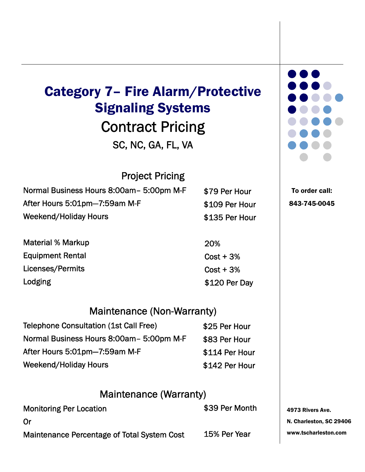## Contract Pricing Category 7– Fire Alarm/Protective Signaling Systems

SC, NC, GA, FL, VA

### Project Pricing

| Normal Business Hours 8:00am - 5:00pm M-F | \$79 Per Hour  |
|-------------------------------------------|----------------|
| After Hours 5:01pm-7:59am M-F             | \$109 Per Hour |
| Weekend/Holiday Hours                     | \$135 Per Hour |

Material % Markup Equipment Rental Licenses/Permits Lodging

Maintenance (Non-Warranty)

| <b>Telephone Consultation (1st Call Free)</b> | \$25 Per Hour  |
|-----------------------------------------------|----------------|
| Normal Business Hours 8:00am - 5:00pm M-F     | \$83 Per Hour  |
| After Hours 5:01pm-7:59am M-F                 | \$114 Per Hour |
| Weekend/Holiday Hours                         | \$142 Per Hour |

#### Maintenance (Warranty)

| <b>Monitoring Per Location</b>                     | \$39 Per Month |
|----------------------------------------------------|----------------|
| Or                                                 |                |
| <b>Maintenance Percentage of Total System Cost</b> | 15% Per Year   |

20%  $Cost + 3%$  $Cost + 3%$ \$120 Per Day



To order call: 843-745-0045

4973 Rivers Ave. N. Charleston, SC 29406 www.tscharleston.com